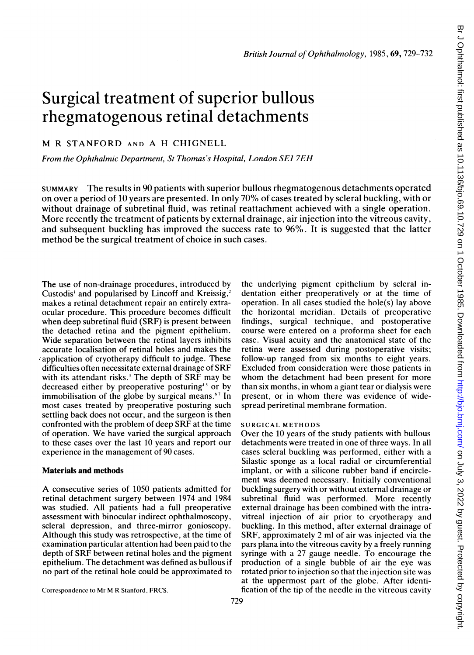# Surgical treatment of superior bullous rhegmatogenous retinal detachments

M R STANFORD AND A H CHIGNELL

From the Ophthalmic Department, St Thomas's Hospital, London SEJ 7EH

SUMMARY The results in 90 patients with superior bullous rhegmatogenous detachments operated on over a period of 10 years are presented. In only 70% of cases treated by scleral buckling, with or without drainage of subretinal fluid, was retinal reattachment achieved with a single operation. More recently the treatment of patients by external drainage, air injection into the vitreous cavity, and subsequent buckling has improved the success rate to 96%. It is suggested that the latter method be the surgical treatment of choice in such cases.

The use of non-drainage procedures, introduced by Custodis' and popularised by Lincoff and Kreissig,<sup>2</sup> makes a retinal detachment repair an entirely extraocular procedure. This procedure becomes difficult when deep subretinal fluid (SRF) is present between the detached retina and the pigment epithelium. Wide separation between the retinal layers inhibits accurate localisation of retinal holes and makes the .,application of cryotherapy difficult to judge. These difficulties often necessitate external drainage of SRF with its attendant risks.<sup>3</sup> The depth of SRF may be decreased either by preoperative posturing<sup>45</sup> or by immobilisation of the globe by surgical means.<sup>67</sup> In most cases treated by preoperative posturing such settling back does not occur, and the surgeon is then confronted with the problem of deep SRF at the time of operation. We have varied the surgical approach to these cases over the last 10 years and report our experience in the management of 90 cases.

#### Materials and methods

A consecutive series of <sup>1050</sup> patients admitted for retinal detachment surgery between 1974 and 1984 was studied. All patients had a full preoperative assessment with binocular indirect ophthalmoscopy, scleral depression, and three-mirror gonioscopy. Although this study was retrospective, at the time of examination particular attention had been paid to the depth of SRF between retinal holes and the pigment epithelium. The detachment was defined as bullous if no part of the retinal hole could be approximated to

the underlying pigment epithelium by scleral indentation either preoperatively or at the time of operation. In all cases studied the hole(s) lay above the horizontal meridian. Details of preoperative findings, surgical technique, and postoperative course were entered on a proforma sheet for each case. Visual acuity and the anatomical state of the retina were assessed during postoperative visits; follow-up ranged from six months to eight years. Excluded from consideration were those patients in whom the detachment had been present for more than six months, in whom <sup>a</sup> giant tear or dialysis were present, or in whom there was evidence of widespread periretinal membrane formation.

## SURGICAL METHODS

Over the 10 years of the study patients with bullous detachments were treated in one of three ways. In all cases scleral buckling was performed, either with a Silastic sponge as a local radial or circumferential implant, or with a silicone rubber band if encirclement was deemed necessary. Initially conventional buckling surgery with or without external drainage or subretinal fluid was performed. More recently external drainage has been combined with the intravitreal injection of air prior to cryotherapy and buckling. In this method, after external drainage of SRF, approximately 2 ml of air was injected via the pars plana into the vitreous cavity by a freely running syringe with a 27 gauge needle. To encourage the production of a single bubble of air the eye was rotated prior to injection so that the injection site was at the uppermost part of the globe. After identification of the tip of the needle in the vitreous cavity

Correspondence to Mr M R Stanford, FRCS.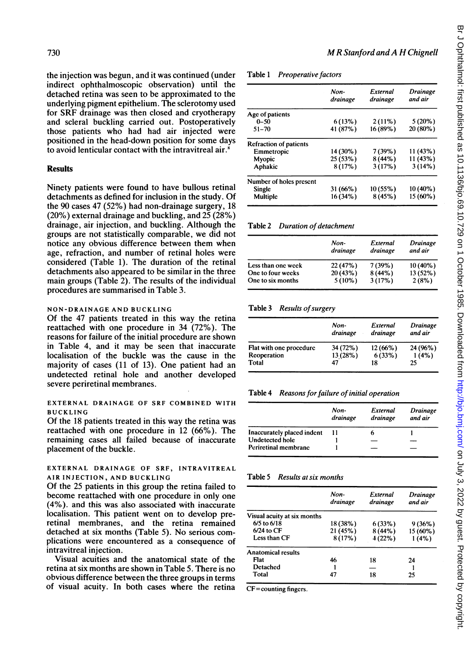the injection was begun, and it was continued (under indirect ophthalmoscopic observation) until the detached retina was seen to be approximated to the underlying pigment epithelium. The sclerotomy used for SRF drainage was then closed and cryotherapy and scleral buckling carried out. Postoperatively those patients who had had air injected were positioned in the head-down position for some days to avoid lenticular contact with the intravitreal air.<sup>8</sup>

# **Results**

Ninety patients were found to have bullous retinal detachments as defined for inclusion in the study. Of the 90 cases 47 (52%) had non-drainage surgery, 18 (20%) external drainage and buckling, and 25 (28%) drainage, air injection, and buckling. Although the groups are not statistically comparable, we did not notice any obvious difference between them when age, refraction, and number of retinal holes were considered (Table 1). The duration of the retinal detachments also appeared to be similar in the three main groups (Table 2). The results of the individual procedures are summarised in Table 3.

# NON-DRAINAGE AND BUCKLING

Of the 47 patients treated in this way the retina reattached with one procedure in 34 (72%). The reasons for failure of the initial procedure are shown in Table 4, and it may be seen that inaccurate localisation of the buckle was the cause in the majority of cases (11 of 13). One patient had an undetected retinal hole and another developed severe periretinal membranes.

## EXTERNAL DRAINAGE OF SRF COMBINED WITH BUCKLING

Of the 18 patients treated in this way the retina was reattached with one procedure in 12 (66%). The remaining cases all failed because of inaccurate placement of the buckle.

# EXTERNAL DRAINAGE OF SRF, INTRAVITREAL AIR INJECTION, AND BUCKLING

Of the 25 patients in this group the retina failed to become reattached with one procedure in only one (4%). and this was also associated with inaccurate localisation. This patient went on to develop preretinal membranes, and the retina remained detached at six months (Table 5). No serious complications were encountered as a consequence of intravitreal injection.

Visual acuities and the anatomical state of the retina at six months are shown in Table 5. There is no obvious difference between the three groups in terms of visual acuity. In both cases where the retina

#### Table <sup>1</sup> Preoperative factors

|                               | Non-<br>drainage | External<br>drainage | <b>Drainage</b><br>and air |
|-------------------------------|------------------|----------------------|----------------------------|
| Age of patients               |                  |                      |                            |
| $0 - 50$                      | 6(13%)           | $2(11\%)$            | $5(20\%)$                  |
| $51 - 70$                     | 41 (87%)         | 16 (89%)             | 20 (80%)                   |
| <b>Refraction of patients</b> |                  |                      |                            |
| Emmetropic                    | 14 (30%)         | 7(39%)               | 11 (43%)                   |
| Myopic                        | 25(53%)          | 8(44%)               | 11(43%)                    |
| Aphakic                       | 8(17%)           | 3(17%)               | 3(14%)                     |
| Number of holes present       |                  |                      |                            |
| Single                        | 31(66%)          | 10(55%)              | 10 (40%)                   |
| Multiple                      | 16 (34%)         | 8(45%)               | 15 (60%)                   |

MRStanford andA H Chignell

#### Table 2 Duration of detachment

|                    | Non-<br>drainage | External<br>drainage | Drainage<br>and air |
|--------------------|------------------|----------------------|---------------------|
| Less than one week | 22(47%)          | 7(39%)               | $10(40\%)$          |
| One to four weeks  | 20(43%)          | 8(44%                | $13(52\%)$          |
| One to six months  | $5(10\%)$        | 3(17%)               | 2(8%)               |

# Table 3 Results of surgery

|                         | Non-<br>drainage | External<br>drainage | <b>Drainage</b><br>and air |
|-------------------------|------------------|----------------------|----------------------------|
| Flat with one procedure | 34 (72%)         | $12(66\%)$           | 24 (96%)                   |
| Reoperation             | 13 (28%)         | 6(33%)               | 1(4%)                      |
| Total                   | 47               | 18                   | 25                         |

#### Table 4 Reasons for failure of initial operation

|                            | Non-<br>drainage | External<br>drainage | Drainage<br>and air |
|----------------------------|------------------|----------------------|---------------------|
| Inaccurately placed indent |                  |                      |                     |
| <b>Undetected hole</b>     |                  |                      |                     |
| Periretinal membrane       |                  |                      |                     |

# Table 5 Results at six months

|                             | Non-<br>drainage | External<br>drainage | Drainage<br>and air |
|-----------------------------|------------------|----------------------|---------------------|
| Visual acuity at six months |                  |                      |                     |
| $6/5$ to $6/18$             | 18 (38%)         | 6(33%)               | 9(36%)              |
| $6/24$ to CF                | 21 (45%)         | 8(44%                | 15 (60%)            |
| Less than CF                | 8(17%)           | 4(22%)               | 1(4%)               |
| <b>Anatomical results</b>   |                  |                      |                     |
| Flat                        | 46               | 18                   | 24                  |
| Detached                    |                  |                      |                     |
| Total                       | 47               | 18                   | 25                  |
|                             |                  |                      |                     |

CF=counting fingers.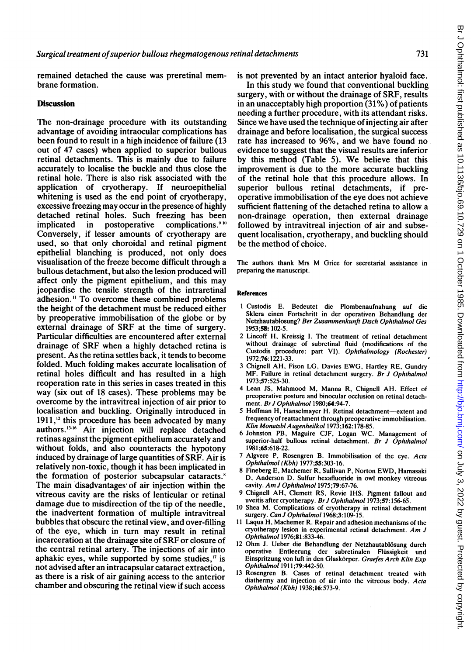remained detached the cause was preretinal membrane formation.

## **Discussion**

The non-drainage procedure with its outstanding advantage of avoiding intraocular complications has been found to result in a high incidence of failure (13 out of 47 cases) when applied to superior bullous retinal detachments. This is mainly due to failure accurately to localise the buckle and thus close the retinal hole. There is also risk associated with the application of cryotherapy. If neuroepithelial whitening is used as the end point of cryotherapy, excessive freezing may occur in the presence of highly detached retinal holes. Such freezing has been<br>implicated in postoperative complications.<sup>910</sup> in postoperative complications. $910$ Conversely, if lesser amounts of cryotherapy are used, so that only choroidal and retinal pigment epithelial blanching is produced, not only does visualisation of the freeze become difficult through a bullous detachment, but also the lesion produced will affect only the pigment epithelium, and this may jeopardise the tensile strength of the intraretinal adhesion." To overcome these combined problems the height of the detachment must be reduced either by preoperative immobilisation of the globe or by external drainage of SRF at the time of surgery. Particular difficulties are encountered after external drainage of SRF when a highly detached retina is present. As the retina settles back, it tends to become folded. Much folding makes accurate localisation of retinal holes difficult and has resulted in a high reoperation rate in this series in cases treated in this way (six out of 18 cases). These problems may be overcome by the intravitreal injection of air prior to localisation and buckling. Originally introduced in  $1911$ ,<sup>12</sup> this procedure has been advocated by many authors.<sup>13-16</sup> Air injection will replace detached retinas against the pigment epithelium accurately and without folds, and also counteracts the hypotony induced by drainage of large quantities of SRF. Air is relatively non-toxic, though it has been implicated in the formation of posterior subcapsular cataracts." The main disadvantages of air injection within the vitreous cavity are the risks of lenticular or retinal damage due to misdirection of the tip of the needle, the inadvertent formation of multiple intravitreal bubbles that obscure the retinal view, and over-filling of the eye, which in turn may result in retinal incarceration at the drainage site of SRF or closure of the central retinal artery. The injections of air into aphakic eyes, while supported by some studies,'" is not advised after an intracapsular cataract extraction, as there is a risk of air gaining access to the anterior chamber and obscuring the retinal view if such access

is not prevented by an intact anterior hyaloid face.

In this study we found that conventional buckling surgery, with or without the drainage of SRF, results in an unacceptably high proportion (31%) of patients needing a further procedure, with its attendant risks. Since we have used the technique of injecting air after drainage and before localisation, the surgical success rate has increased to 96%, and we have found no evidence to suggest that the visual results are inferior by this method (Table 5). We believe that this improvement is due to the more accurate buckling of the retinal hole that this procedure allows. In superior bullous retinal detachments, if preoperative immobilisation of the eye does not achieve sufficient flattening of the detached retina to allow a non-drainage operation, then external drainage followed by intravitreal injection of air and subsequent localisation, cryotherapy, and buckling should be the method of choice.

The authors thank Mrs M Grice for secretarial assistance in preparing the manuscript.

#### References

- <sup>1</sup> Custodis E. Bedeutet die Plombenaufnahung auf die Sklera einen Fortschritt in der operativen Behandlung der Netzhautablosung? Ber Zusammenkunft Dtsch Ophthalmol Ges 1953;58: 102-5.
- 2 Lincoff H, Kreissig I. The treatment of retinal detachment without drainage of subretinal fluid (modifications of the Custodis procedure: part VI). Ophthalmology (Rochester) 1972;76:1221-33.
- <sup>3</sup> Chignell AH, Fison LG, Davies EWG, Hartley RE, Gundry MF. Failure in retinal detachment surgery. Br J Ophthalmol 1973;57:525-30.
- <sup>4</sup> Lean JS, Mahmood M, Manna R, Chignell AH. Effect of preoperative posture and binocular occlusion on retinal detachment. *Br J Ophthalmol* 1980;64:94-7.
- 5 Hoffman H, Hanselmayer H. Retinal detachment-extent and frequency of reattachment through preoperative immobilisation. Klin Monatsbl Augenheilkol 1973;162:178-85.
- 6 Johnston PB, Maguire CJF, Logan WC. Management of superior-half bullous retinal detachment. Br J Ophthalmol 1981 ;65:618-22.
- 7 Algvere P, Rosengren B. Immobilisation of the eye. Acta Ophthalmol (Kbh) 1977;55:303-16.
- <sup>8</sup> Fineberg E, Machemer R, Sullivan P, Norton EWD, Hamasaki D, Anderson D. Sulfur hexafluoride in owl monkey vitreous cavity. Am <sup>J</sup> Ophthalmol 1975;79:67-76.
- 9 Chignell AH, Clemett RS, Revie IHS. Pigment fallout and uveitis after cryotherapy. Br J Ophthalmol 1973;57:156-65.
- 10 Shea M. Complications of cryotherapy in retinal detachment surgery. Can J Ophthalmol 1968;3:109-15.
- <sup>11</sup> Laqua H, Machemer R. Repair and adhesion mechanisms of the cryotherapy lesion in experimental retinal detachment. Am <sup>J</sup> Ophthalmol 1976;81:833-46.
- 12 Ohm J. Ueber die Behandlung der Netzhautablösung durch operative Entleerung der subretinalen Flussigkeit und Einspritzung von luft in den Glaskorper. Graefes Arch Klin Exp Ophthalmol 1911 ;79:442-50.
- 13 Rosengren B. Cases of retinal detachment treated with diathermy and injection of air into the vitreous body. Acta Ophthalmol (Kbh) 1938;16:573-9.